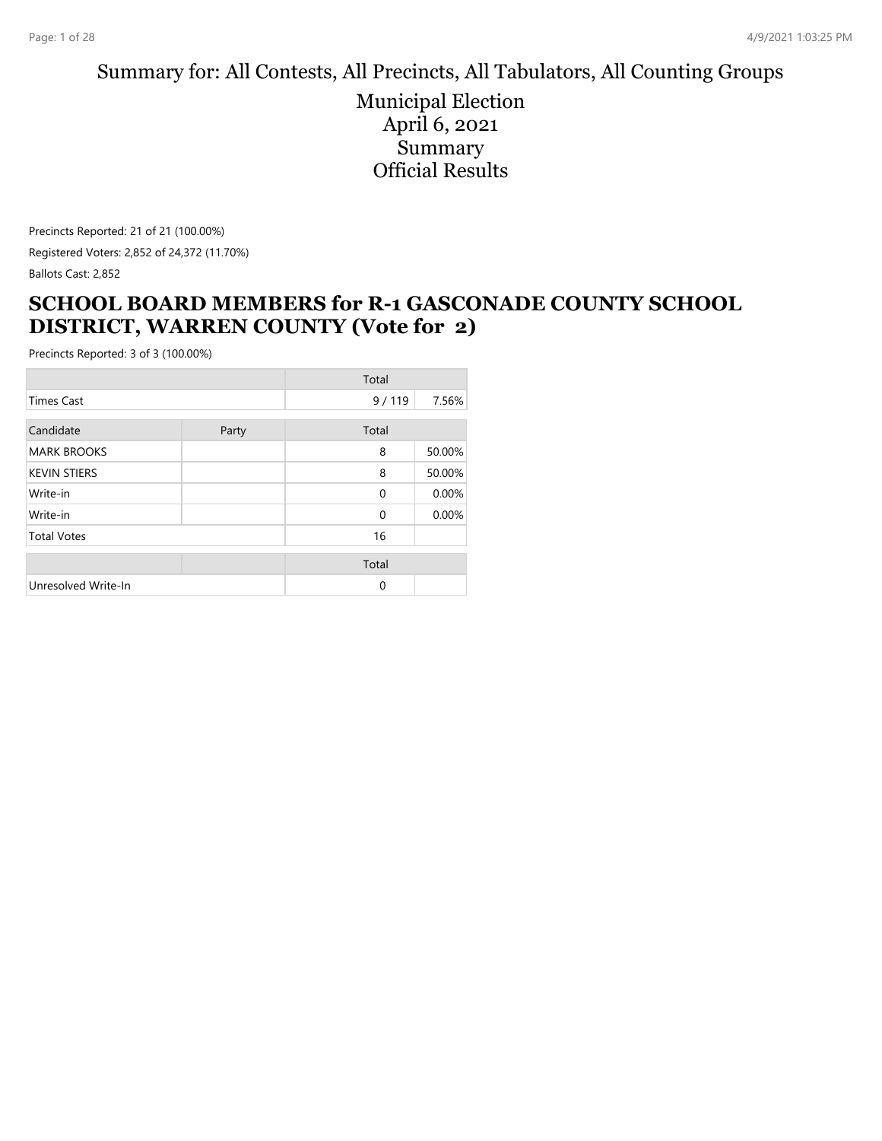# Summary for: All Contests, All Precincts, All Tabulators, All Counting Groups

Municipal Election April 6, 2021 Summary Official Results

Precincts Reported: 21 of 21 (100.00%) Registered Voters: 2,852 of 24,372 (11.70%) Ballots Cast: 2,852

#### **SCHOOL BOARD MEMBERS for R-1 GASCONADE COUNTY SCHOOL DISTRICT, WARREN COUNTY (Vote for 2)**

| Total               |       |          |        |
|---------------------|-------|----------|--------|
| <b>Times Cast</b>   |       | 9/119    | 7.56%  |
| Candidate           | Party | Total    |        |
| <b>MARK BROOKS</b>  |       | 8        | 50.00% |
| <b>KEVIN STIERS</b> |       | 8        | 50.00% |
| Write-in            |       | $\Omega$ | 0.00%  |
| Write-in            |       | $\Omega$ | 0.00%  |
| <b>Total Votes</b>  |       | 16       |        |
|                     |       | Total    |        |
| Unresolved Write-In |       | $\Omega$ |        |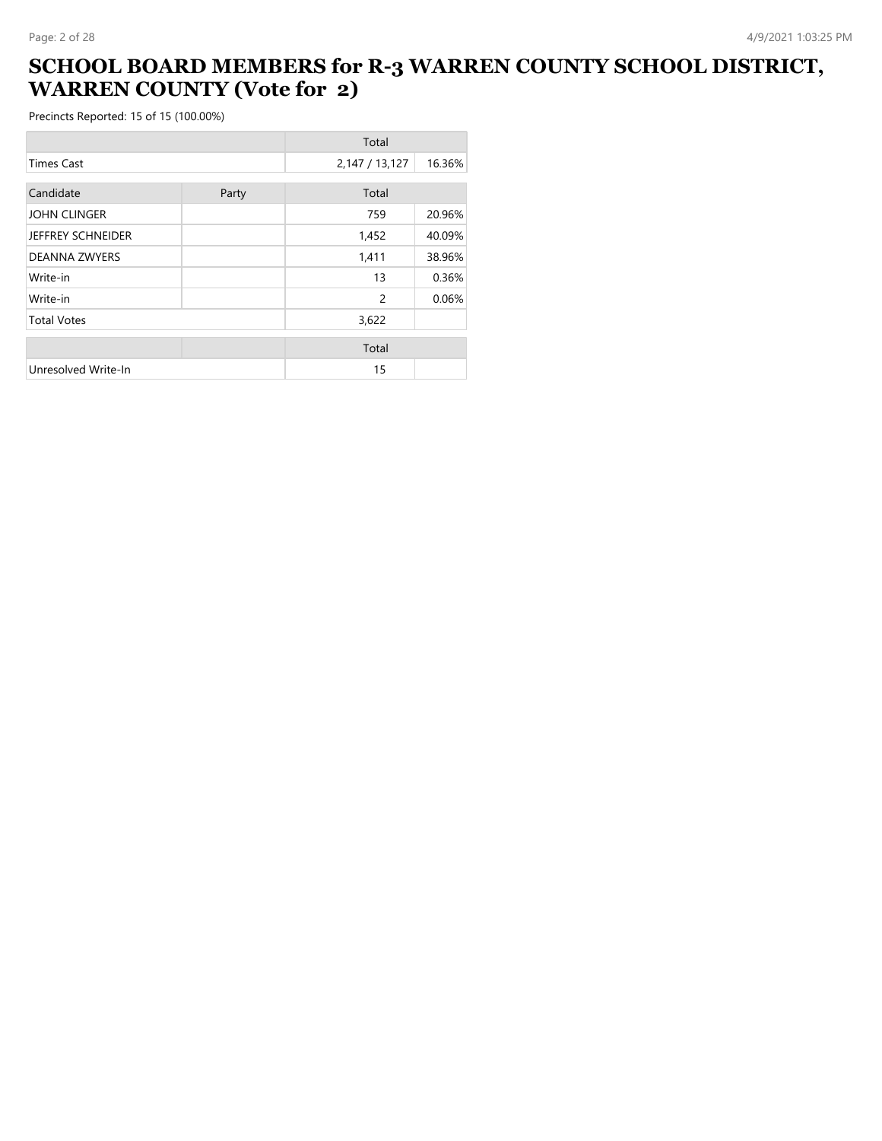#### **SCHOOL BOARD MEMBERS for R-3 WARREN COUNTY SCHOOL DISTRICT, WARREN COUNTY (Vote for 2)**

|                          |       | Total          |        |
|--------------------------|-------|----------------|--------|
| <b>Times Cast</b>        |       | 2,147 / 13,127 | 16.36% |
| Candidate                |       | Total          |        |
|                          | Party |                |        |
| <b>JOHN CLINGER</b>      |       | 759            | 20.96% |
| <b>JEFFREY SCHNEIDER</b> |       | 1,452          | 40.09% |
| <b>DEANNA ZWYERS</b>     |       | 1,411          | 38.96% |
| Write-in                 |       | 13             | 0.36%  |
| Write-in                 |       | 2              | 0.06%  |
| <b>Total Votes</b>       |       | 3,622          |        |
|                          |       | Total          |        |
|                          |       |                |        |
| Unresolved Write-In      |       | 15             |        |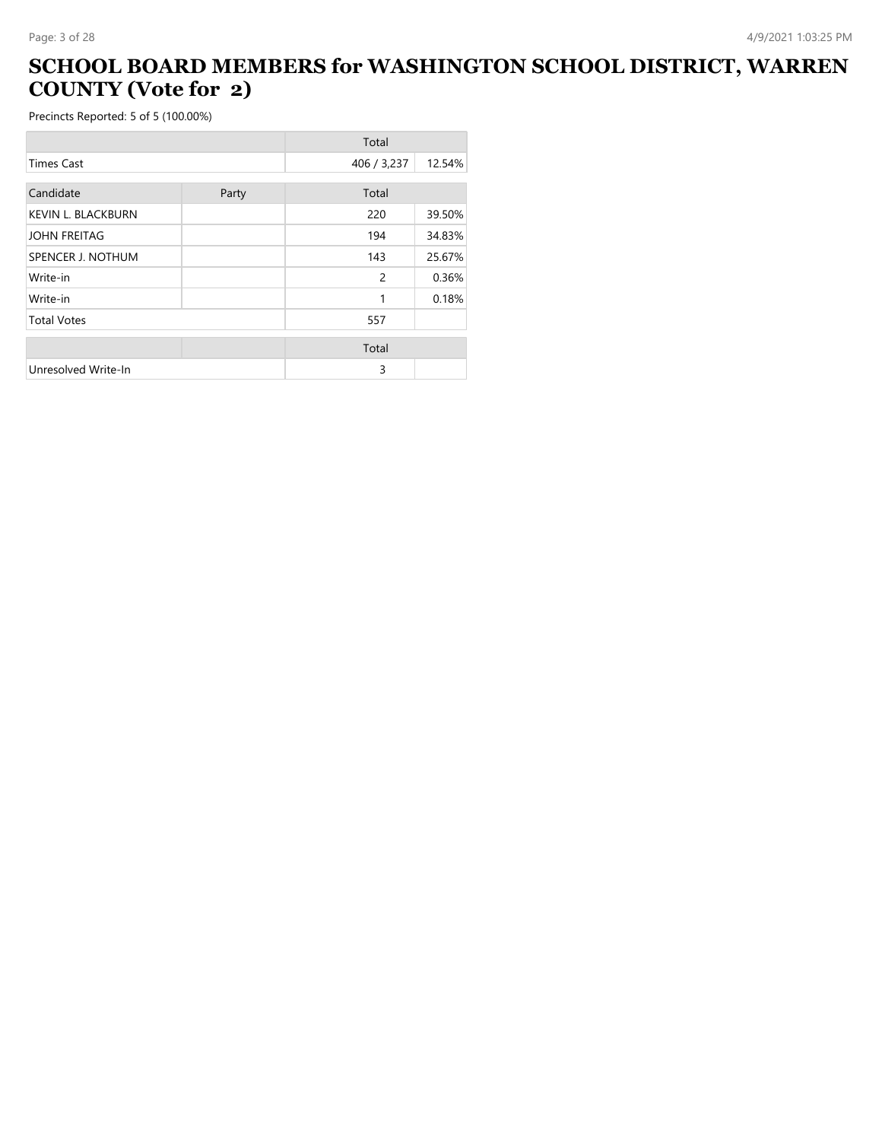# **SCHOOL BOARD MEMBERS for WASHINGTON SCHOOL DISTRICT, WARREN COUNTY (Vote for 2)**

|                           |       | Total         |        |
|---------------------------|-------|---------------|--------|
| <b>Times Cast</b>         |       | 406 / 3,237   | 12.54% |
| Candidate                 |       | Total         |        |
|                           | Party |               |        |
| <b>KEVIN L. BLACKBURN</b> |       | 220           | 39.50% |
| <b>JOHN FREITAG</b>       |       | 194           | 34.83% |
| SPENCER J. NOTHUM         |       | 143           | 25.67% |
| Write-in                  |       | $\mathcal{P}$ | 0.36%  |
| Write-in                  |       | 1             | 0.18%  |
| <b>Total Votes</b>        |       | 557           |        |
|                           |       | Total         |        |
|                           |       |               |        |
| Unresolved Write-In       |       | 3             |        |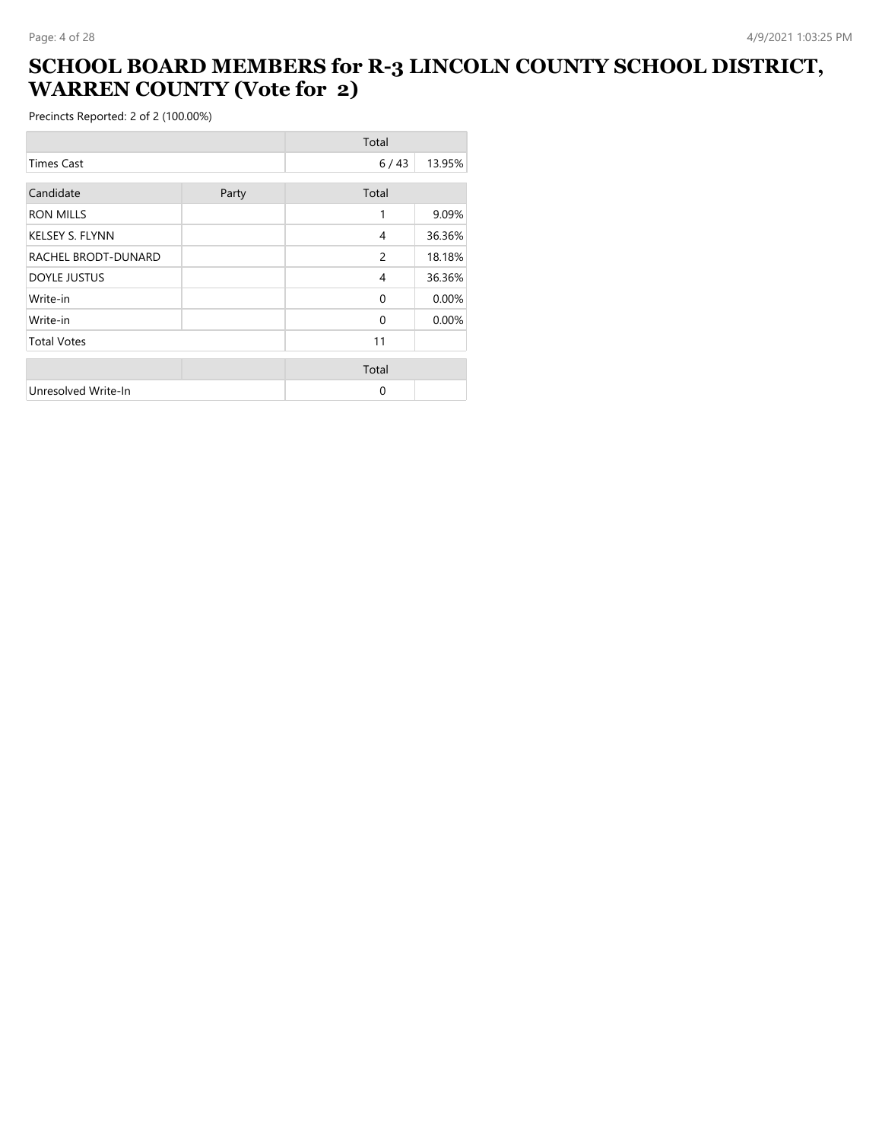#### **SCHOOL BOARD MEMBERS for R-3 LINCOLN COUNTY SCHOOL DISTRICT, WARREN COUNTY (Vote for 2)**

|                        |       | Total          |        |
|------------------------|-------|----------------|--------|
| <b>Times Cast</b>      |       | 6/43           | 13.95% |
| Candidate              | Party | Total          |        |
|                        |       |                |        |
| <b>RON MILLS</b>       |       | 1              | 9.09%  |
| <b>KELSEY S. FLYNN</b> |       | 4              | 36.36% |
| RACHEL BRODT-DUNARD    |       | $\overline{c}$ | 18.18% |
| <b>DOYLE JUSTUS</b>    |       | 4              | 36.36% |
| Write-in               |       | $\Omega$       | 0.00%  |
| Write-in               |       | $\Omega$       | 0.00%  |
| <b>Total Votes</b>     |       | 11             |        |
|                        |       | Total          |        |
| Unresolved Write-In    |       | 0              |        |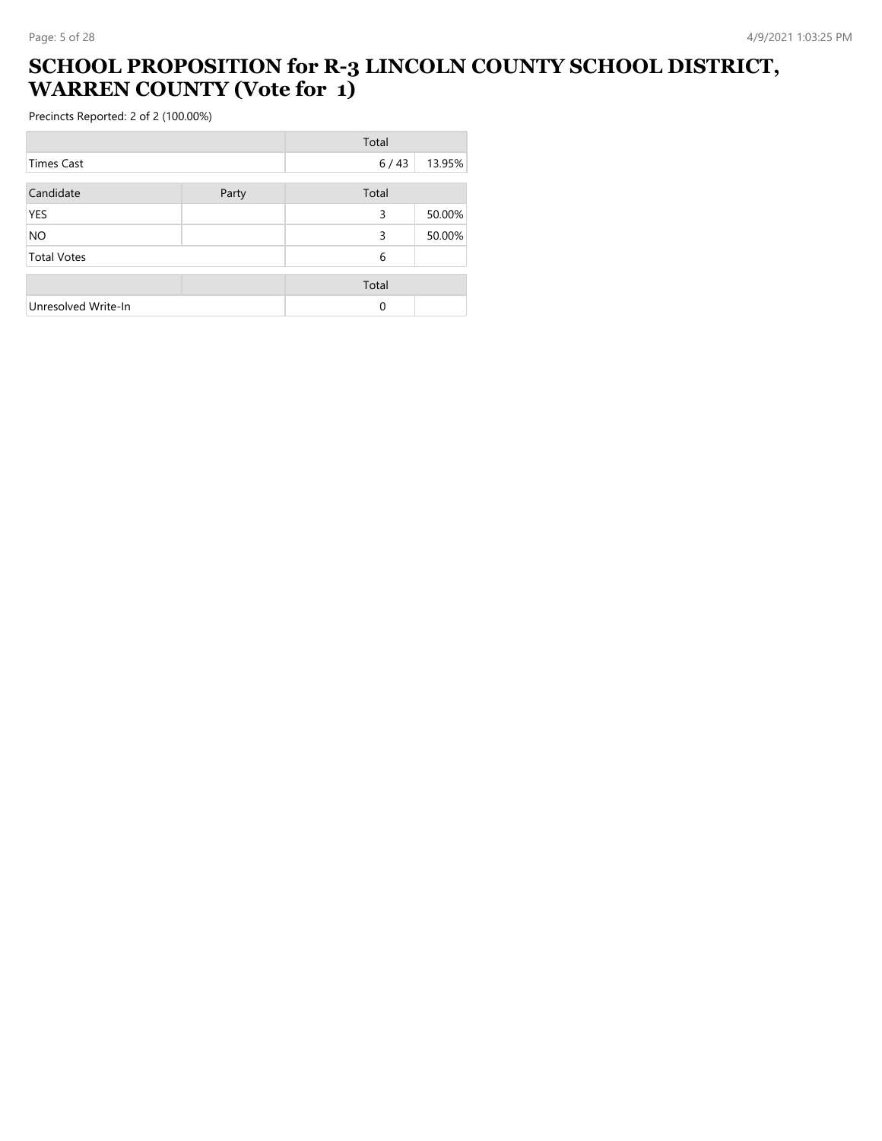#### **SCHOOL PROPOSITION for R-3 LINCOLN COUNTY SCHOOL DISTRICT, WARREN COUNTY (Vote for 1)**

|                     |       | Total |        |
|---------------------|-------|-------|--------|
| <b>Times Cast</b>   |       | 6/43  | 13.95% |
| Candidate           | Party | Total |        |
| <b>YES</b>          |       | 3     | 50.00% |
| <b>NO</b>           |       | 3     | 50.00% |
| <b>Total Votes</b>  |       | 6     |        |
|                     |       | Total |        |
| Unresolved Write-In |       | 0     |        |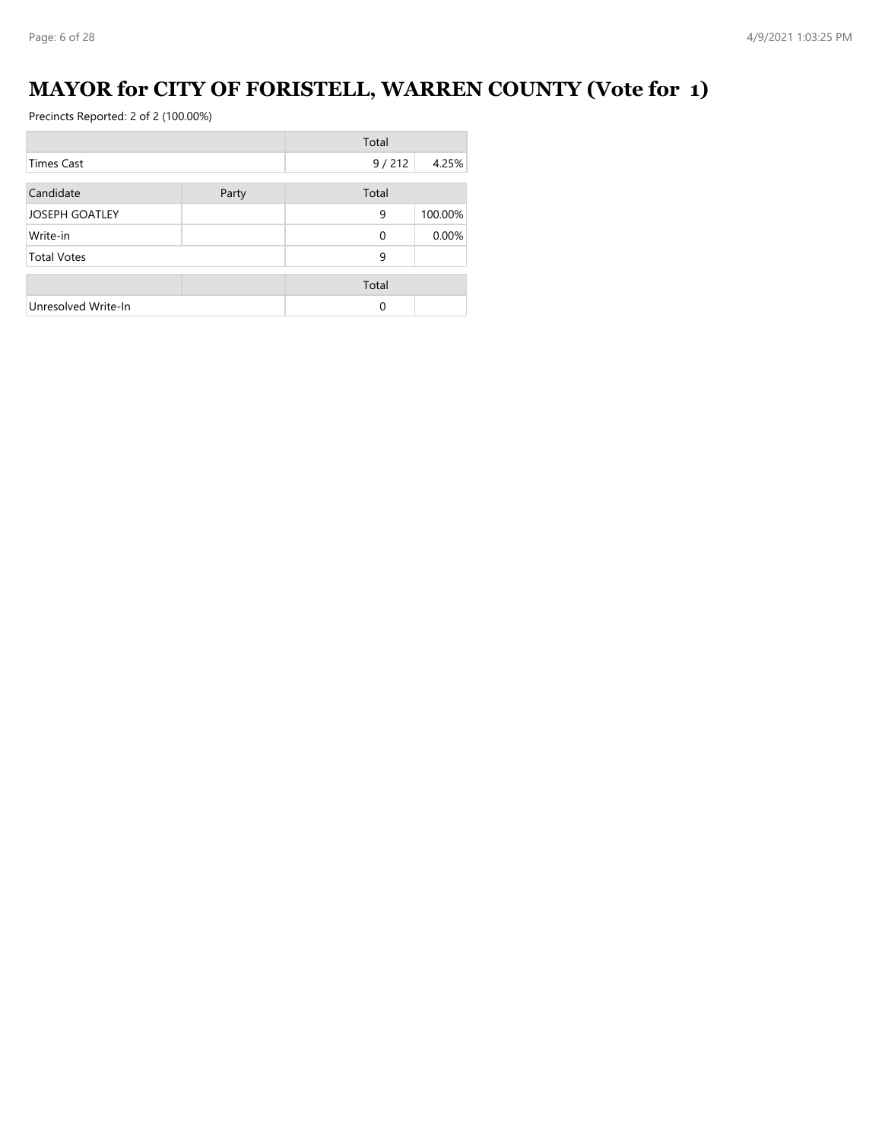# **MAYOR for CITY OF FORISTELL, WARREN COUNTY (Vote for 1)**

|                       |       | Total    |         |
|-----------------------|-------|----------|---------|
| <b>Times Cast</b>     |       | 9/212    | 4.25%   |
| Candidate             | Party | Total    |         |
| <b>JOSEPH GOATLEY</b> |       | 9        | 100.00% |
| Write-in              |       | $\Omega$ | 0.00%   |
| <b>Total Votes</b>    |       | 9        |         |
|                       |       | Total    |         |
| Unresolved Write-In   |       | $\Omega$ |         |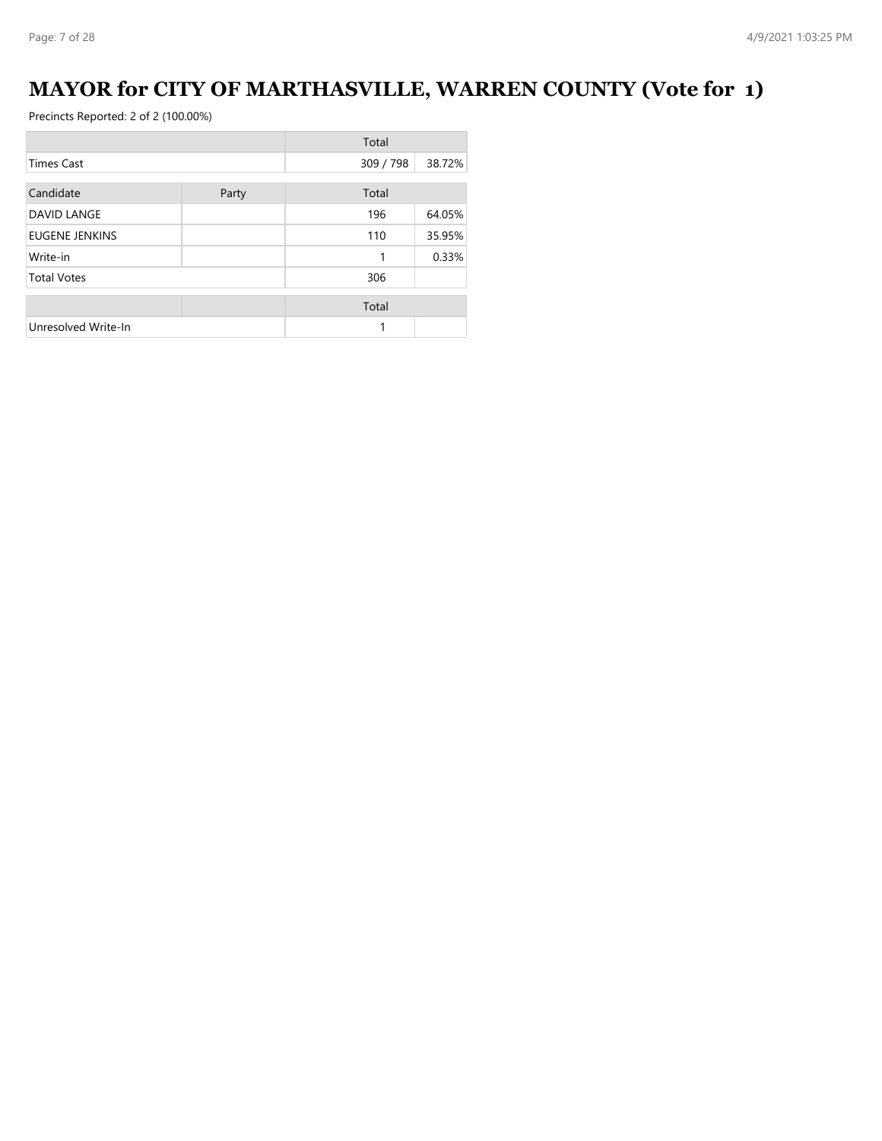# **MAYOR for CITY OF MARTHASVILLE, WARREN COUNTY (Vote for 1)**

|                       |       | Total     |        |
|-----------------------|-------|-----------|--------|
| <b>Times Cast</b>     |       | 309 / 798 | 38.72% |
| Candidate             | Party | Total     |        |
| <b>DAVID LANGE</b>    |       | 196       | 64.05% |
| <b>EUGENE JENKINS</b> |       | 110       | 35.95% |
| Write-in              |       | 1         | 0.33%  |
| <b>Total Votes</b>    |       | 306       |        |
|                       |       | Total     |        |
| Unresolved Write-In   |       | 1         |        |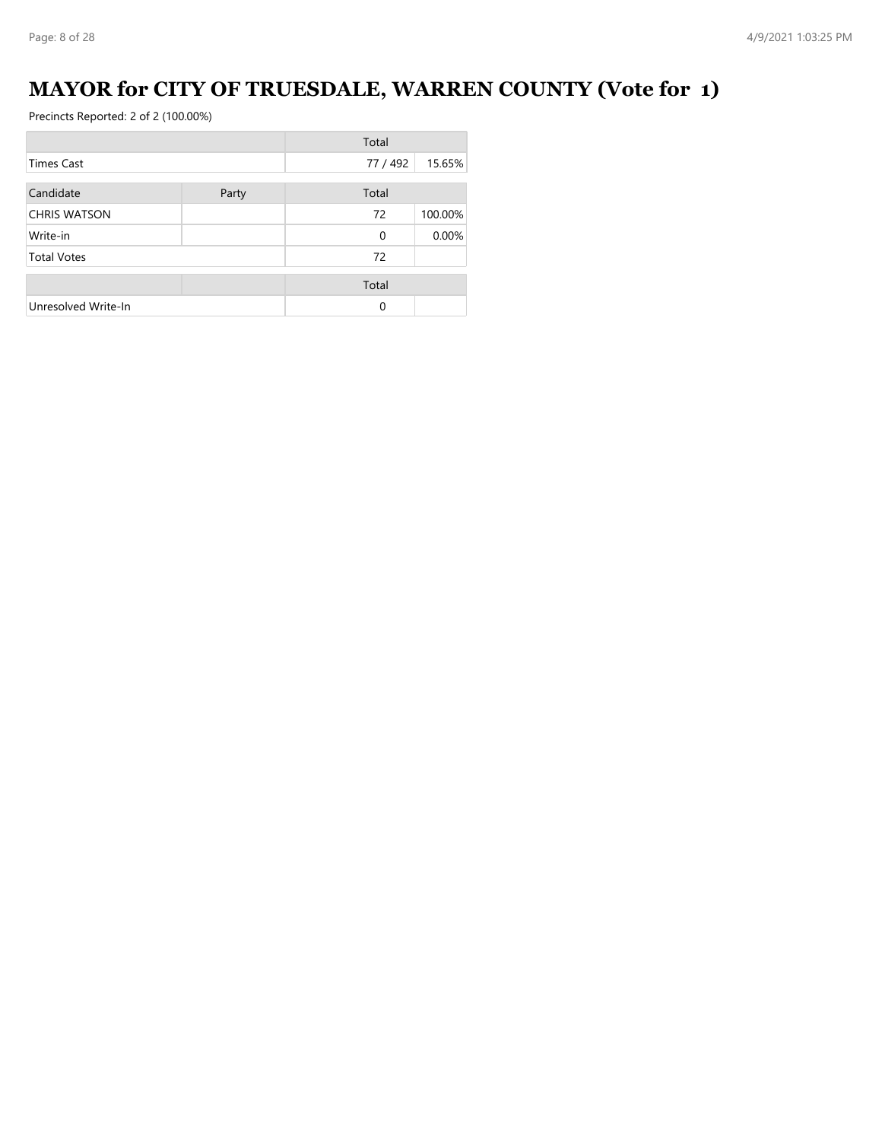# **MAYOR for CITY OF TRUESDALE, WARREN COUNTY (Vote for 1)**

|                     |       | Total    |         |
|---------------------|-------|----------|---------|
| Times Cast          |       | 77 / 492 | 15.65%  |
| Candidate           | Party | Total    |         |
| <b>CHRIS WATSON</b> |       | 72       | 100.00% |
| Write-in            |       | $\Omega$ | 0.00%   |
| <b>Total Votes</b>  |       | 72       |         |
|                     |       | Total    |         |
| Unresolved Write-In |       | 0        |         |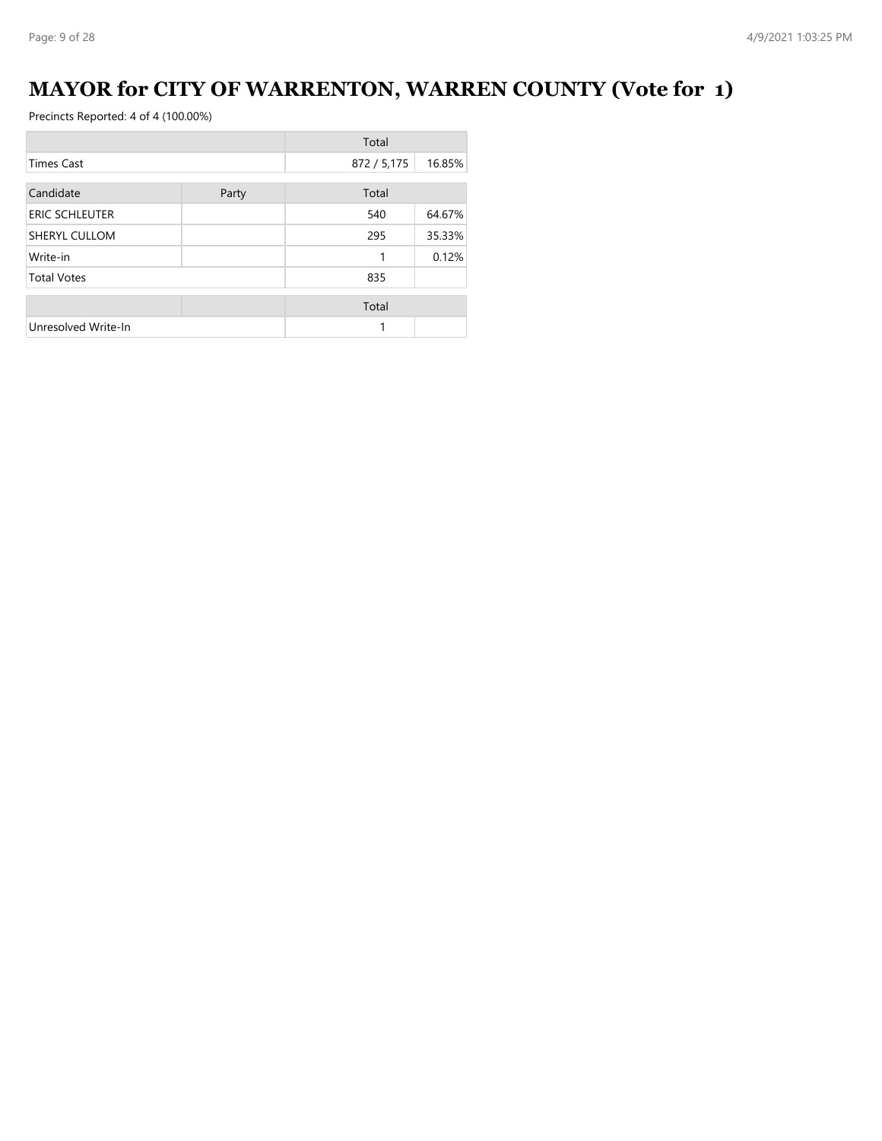# **MAYOR for CITY OF WARRENTON, WARREN COUNTY (Vote for 1)**

|                       |       | Total       |        |
|-----------------------|-------|-------------|--------|
| <b>Times Cast</b>     |       | 872 / 5,175 | 16.85% |
| Candidate             | Party | Total       |        |
| <b>ERIC SCHLEUTER</b> |       | 540         | 64.67% |
| SHERYL CULLOM         |       | 295         | 35.33% |
| Write-in              |       | 1           | 0.12%  |
| <b>Total Votes</b>    |       | 835         |        |
|                       |       | Total       |        |
| Unresolved Write-In   |       | 1           |        |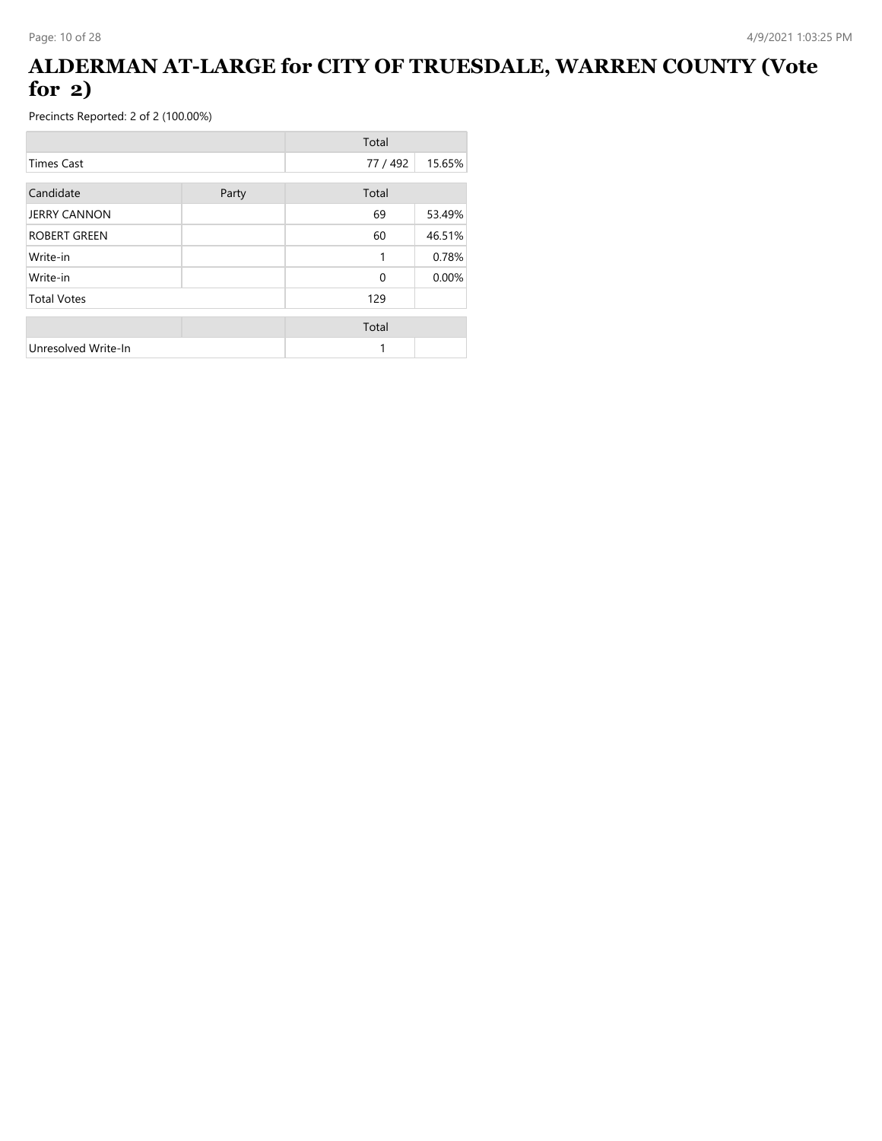### **ALDERMAN AT-LARGE for CITY OF TRUESDALE, WARREN COUNTY (Vote for 2)**

|                     |       | Total    |        |
|---------------------|-------|----------|--------|
| <b>Times Cast</b>   |       | 77 / 492 | 15.65% |
| Candidate           | Party | Total    |        |
| <b>JERRY CANNON</b> |       | 69       | 53.49% |
| <b>ROBERT GREEN</b> |       | 60       | 46.51% |
| Write-in            |       | 1        | 0.78%  |
| Write-in            |       | 0        | 0.00%  |
| <b>Total Votes</b>  |       | 129      |        |
|                     |       | Total    |        |
| Unresolved Write-In |       | 1        |        |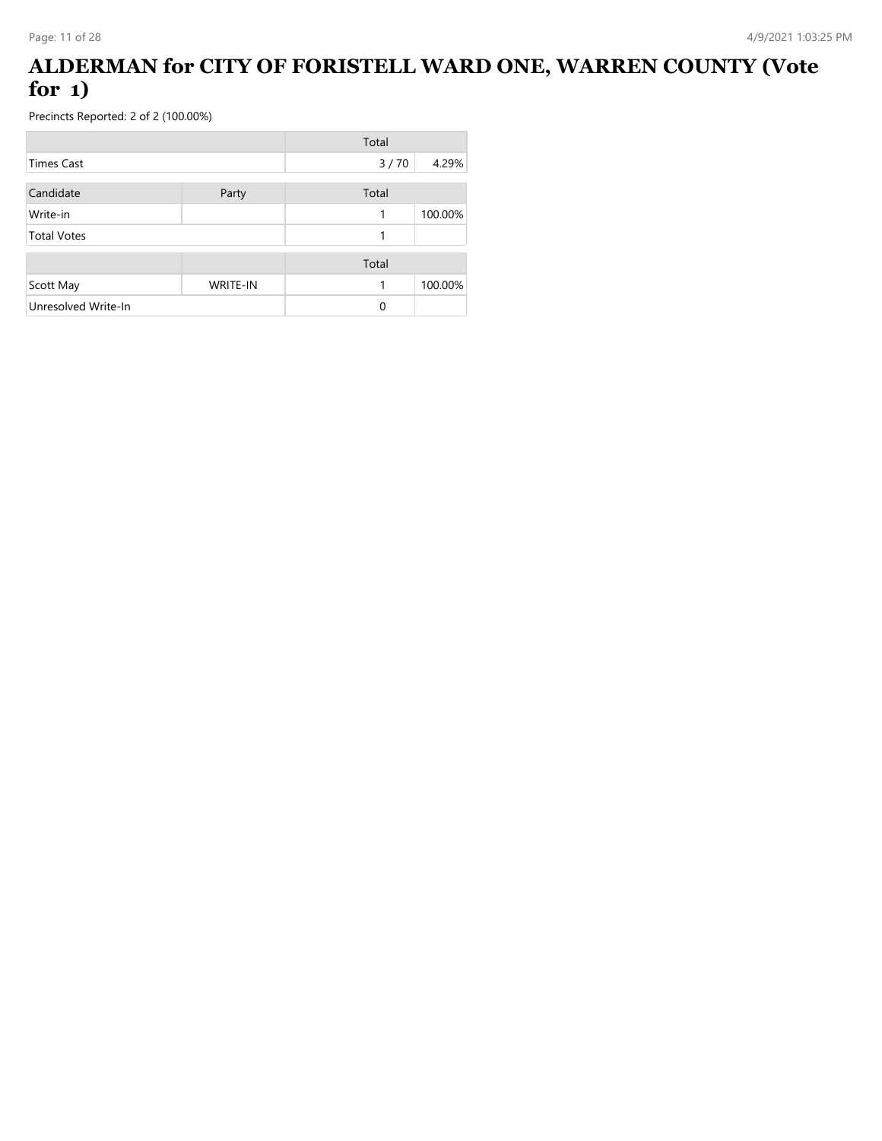### **ALDERMAN for CITY OF FORISTELL WARD ONE, WARREN COUNTY (Vote for 1)**

|                     |                 | Total |         |
|---------------------|-----------------|-------|---------|
| Times Cast          |                 | 3/70  | 4.29%   |
| Candidate           | Party           | Total |         |
| Write-in            |                 | 1     | 100.00% |
| <b>Total Votes</b>  |                 | 1     |         |
|                     |                 | Total |         |
| Scott May           | <b>WRITE-IN</b> | 1     | 100.00% |
| Unresolved Write-In |                 | 0     |         |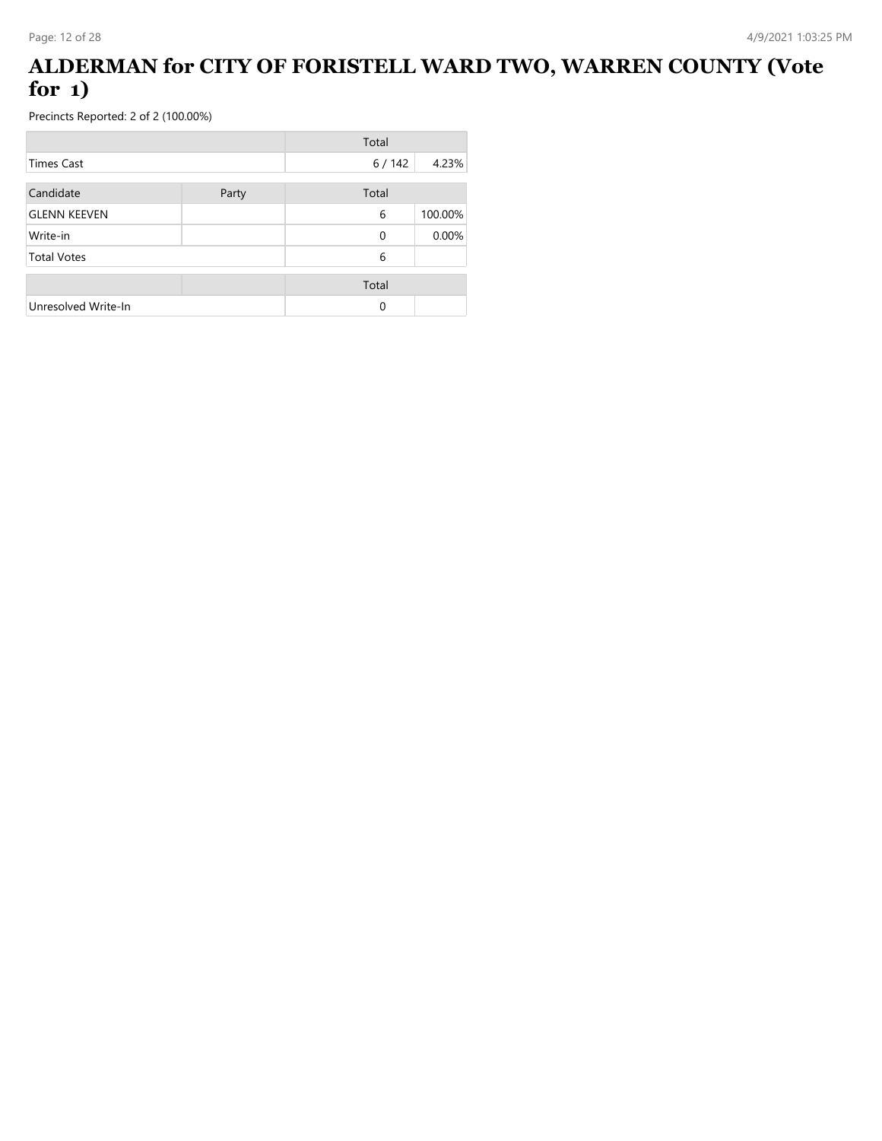### **ALDERMAN for CITY OF FORISTELL WARD TWO, WARREN COUNTY (Vote for 1)**

|                     |       | Total    |         |
|---------------------|-------|----------|---------|
| <b>Times Cast</b>   |       | 6 / 142  | 4.23%   |
| Candidate           | Party | Total    |         |
| <b>GLENN KEEVEN</b> |       | 6        | 100.00% |
| Write-in            |       | 0        | 0.00%   |
| <b>Total Votes</b>  |       | 6        |         |
|                     |       | Total    |         |
| Unresolved Write-In |       | $\Omega$ |         |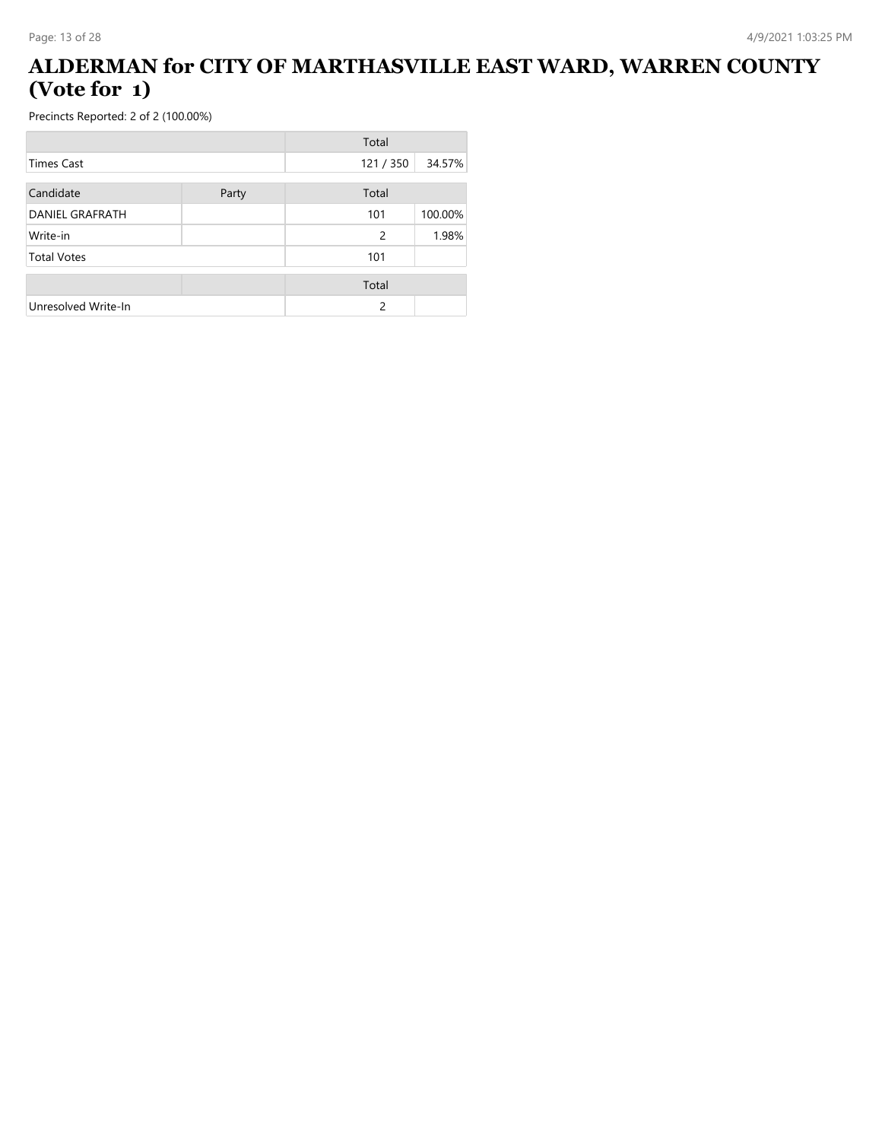#### **ALDERMAN for CITY OF MARTHASVILLE EAST WARD, WARREN COUNTY (Vote for 1)**

|                     |       | Total   |         |
|---------------------|-------|---------|---------|
| Times Cast          |       | 121/350 | 34.57%  |
| Candidate           | Party | Total   |         |
| DANIEL GRAFRATH     |       | 101     | 100.00% |
| Write-in            |       | 2       | 1.98%   |
| <b>Total Votes</b>  |       | 101     |         |
|                     |       | Total   |         |
| Unresolved Write-In |       | 2       |         |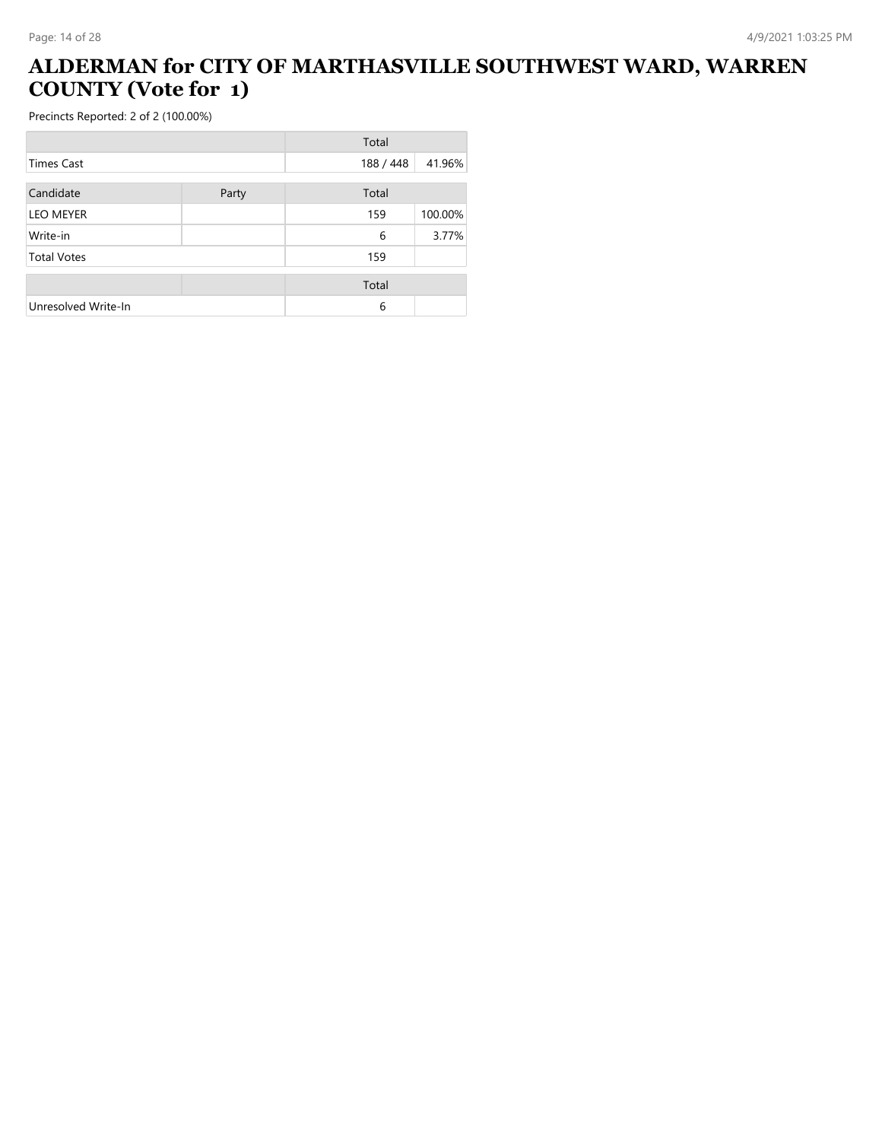# **ALDERMAN for CITY OF MARTHASVILLE SOUTHWEST WARD, WARREN COUNTY (Vote for 1)**

|                     |       | Total     |         |
|---------------------|-------|-----------|---------|
| Times Cast          |       | 188 / 448 | 41.96%  |
| Candidate           | Party | Total     |         |
| <b>LEO MEYER</b>    |       | 159       | 100.00% |
| Write-in            |       | 6         | 3.77%   |
| <b>Total Votes</b>  |       | 159       |         |
|                     |       | Total     |         |
| Unresolved Write-In |       | 6         |         |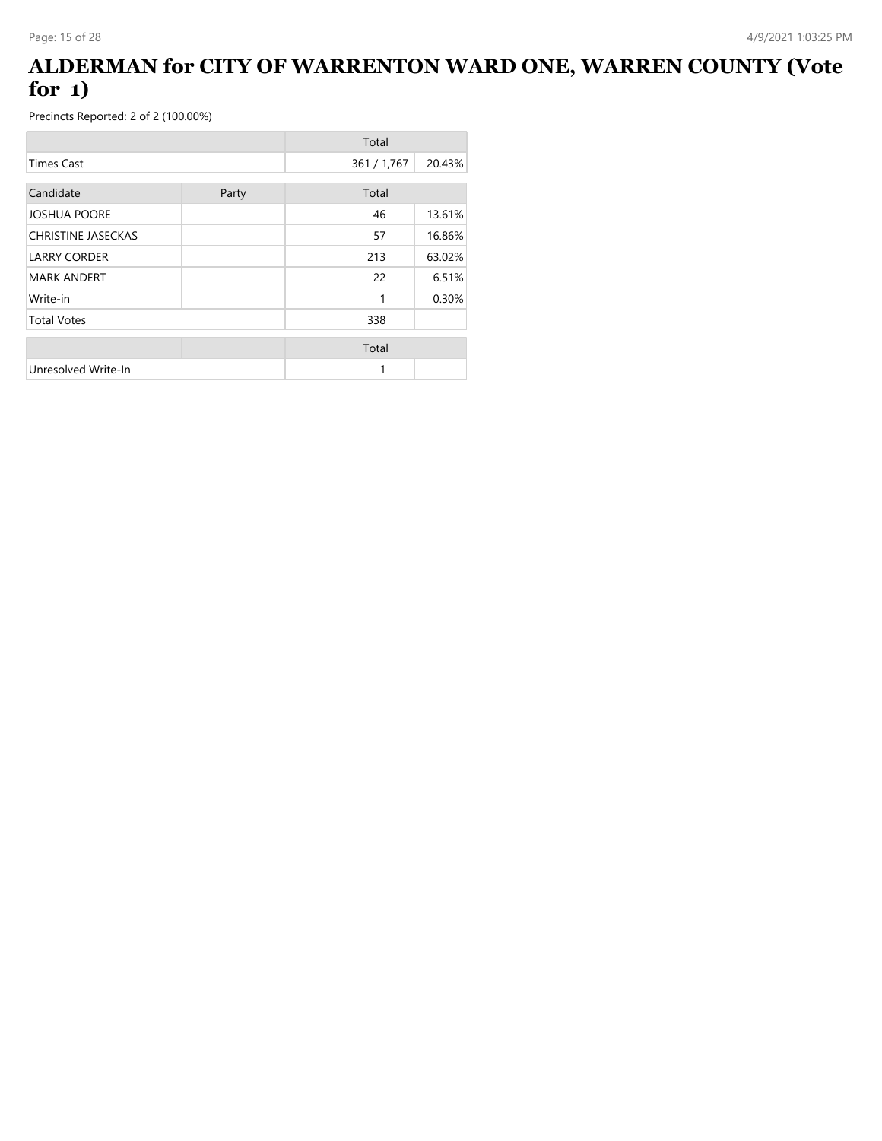### **ALDERMAN for CITY OF WARRENTON WARD ONE, WARREN COUNTY (Vote for 1)**

|                           |       | Total       |        |
|---------------------------|-------|-------------|--------|
| <b>Times Cast</b>         |       | 361 / 1,767 | 20.43% |
| Candidate                 | Party | Total       |        |
| <b>JOSHUA POORE</b>       |       | 46          | 13.61% |
| <b>CHRISTINE JASECKAS</b> |       | 57          | 16.86% |
| <b>LARRY CORDER</b>       |       | 213         | 63.02% |
| <b>MARK ANDERT</b>        |       | 22          | 6.51%  |
| Write-in                  |       | 1           | 0.30%  |
| <b>Total Votes</b>        |       | 338         |        |
|                           |       | Total       |        |
| Unresolved Write-In       |       | 1           |        |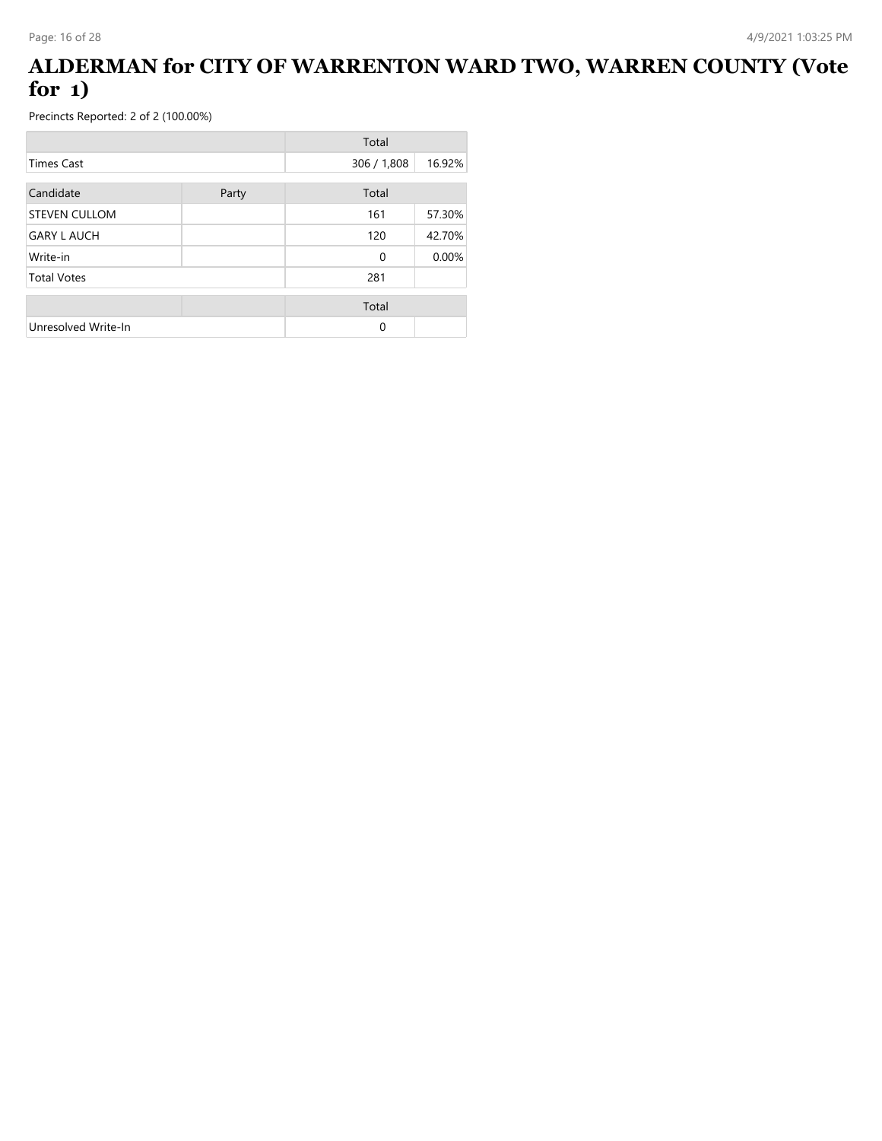### **ALDERMAN for CITY OF WARRENTON WARD TWO, WARREN COUNTY (Vote for 1)**

|                      |       | Total       |        |
|----------------------|-------|-------------|--------|
| <b>Times Cast</b>    |       | 306 / 1,808 | 16.92% |
| Candidate            | Party | Total       |        |
| <b>STEVEN CULLOM</b> |       | 161         | 57.30% |
| <b>GARY L AUCH</b>   |       | 120         | 42.70% |
| Write-in             |       | $\mathbf 0$ | 0.00%  |
| <b>Total Votes</b>   |       | 281         |        |
|                      |       | Total       |        |
| Unresolved Write-In  |       | 0           |        |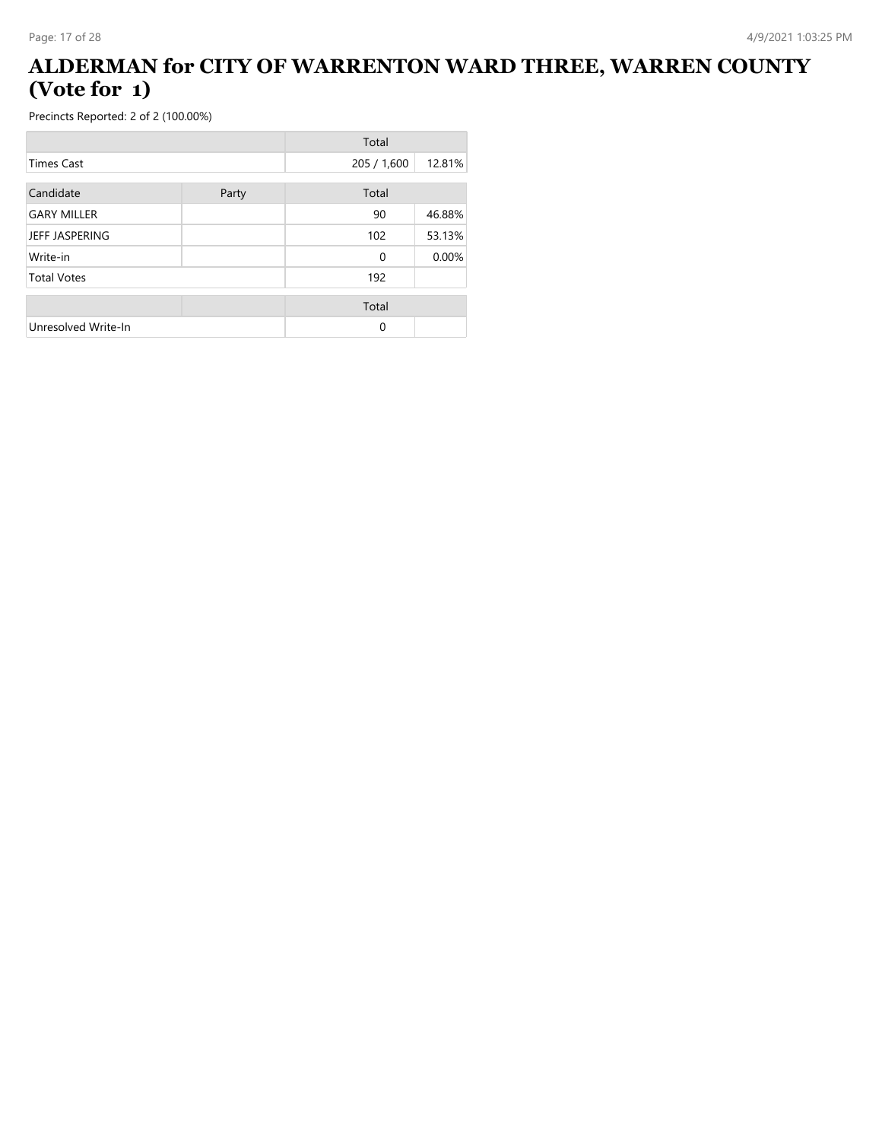### **ALDERMAN for CITY OF WARRENTON WARD THREE, WARREN COUNTY (Vote for 1)**

|                     |       | Total       |        |
|---------------------|-------|-------------|--------|
| <b>Times Cast</b>   |       | 205 / 1,600 | 12.81% |
| Candidate           | Party | Total       |        |
| <b>GARY MILLER</b>  |       | 90          | 46.88% |
| JEFF JASPERING      |       | 102         | 53.13% |
| Write-in            |       | 0           | 0.00%  |
| <b>Total Votes</b>  |       | 192         |        |
|                     |       | Total       |        |
| Unresolved Write-In |       | 0           |        |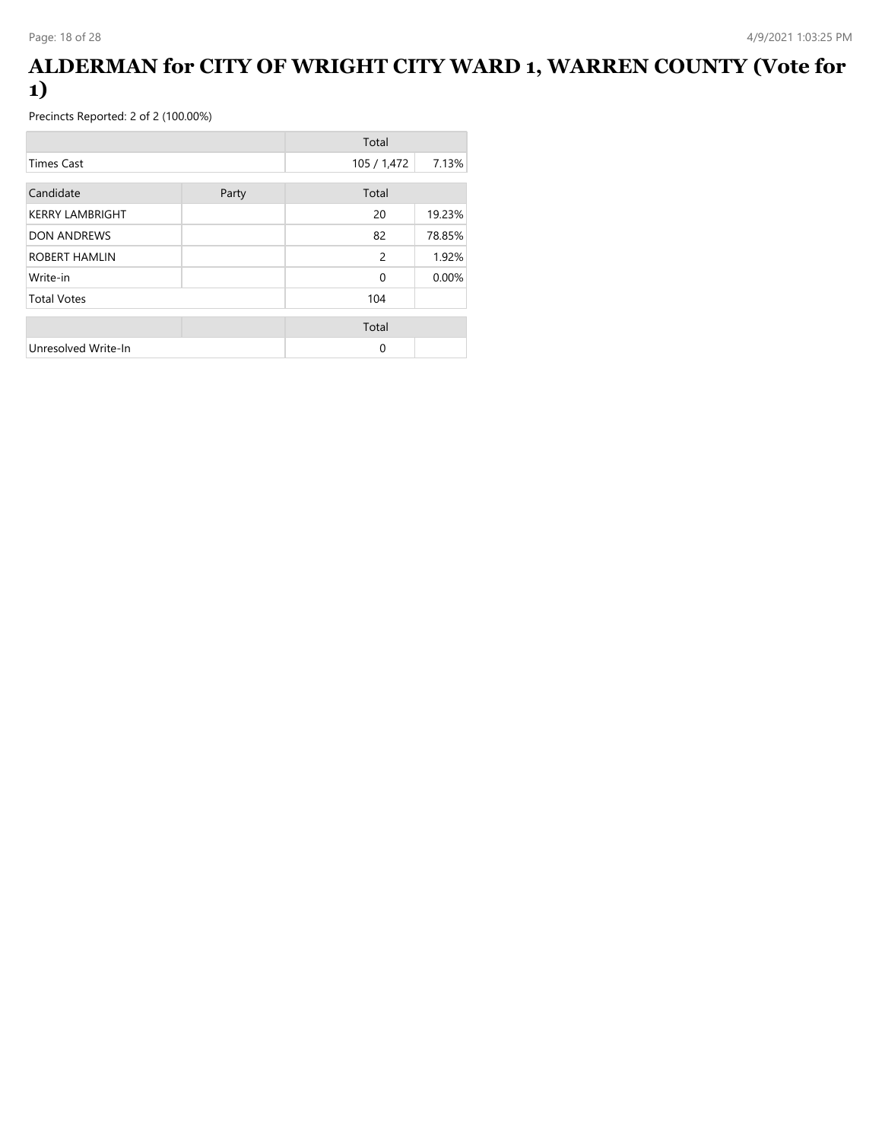### **ALDERMAN for CITY OF WRIGHT CITY WARD 1, WARREN COUNTY (Vote for 1)**

|                        |       | Total       |        |
|------------------------|-------|-------------|--------|
| <b>Times Cast</b>      |       | 105 / 1,472 | 7.13%  |
| Candidate              | Party | Total       |        |
| <b>KERRY LAMBRIGHT</b> |       | 20          | 19.23% |
| <b>DON ANDREWS</b>     |       | 82          | 78.85% |
| ROBERT HAMLIN          |       | 2           | 1.92%  |
| Write-in               |       | $\mathbf 0$ | 0.00%  |
| <b>Total Votes</b>     |       | 104         |        |
|                        |       | Total       |        |
| Unresolved Write-In    |       | 0           |        |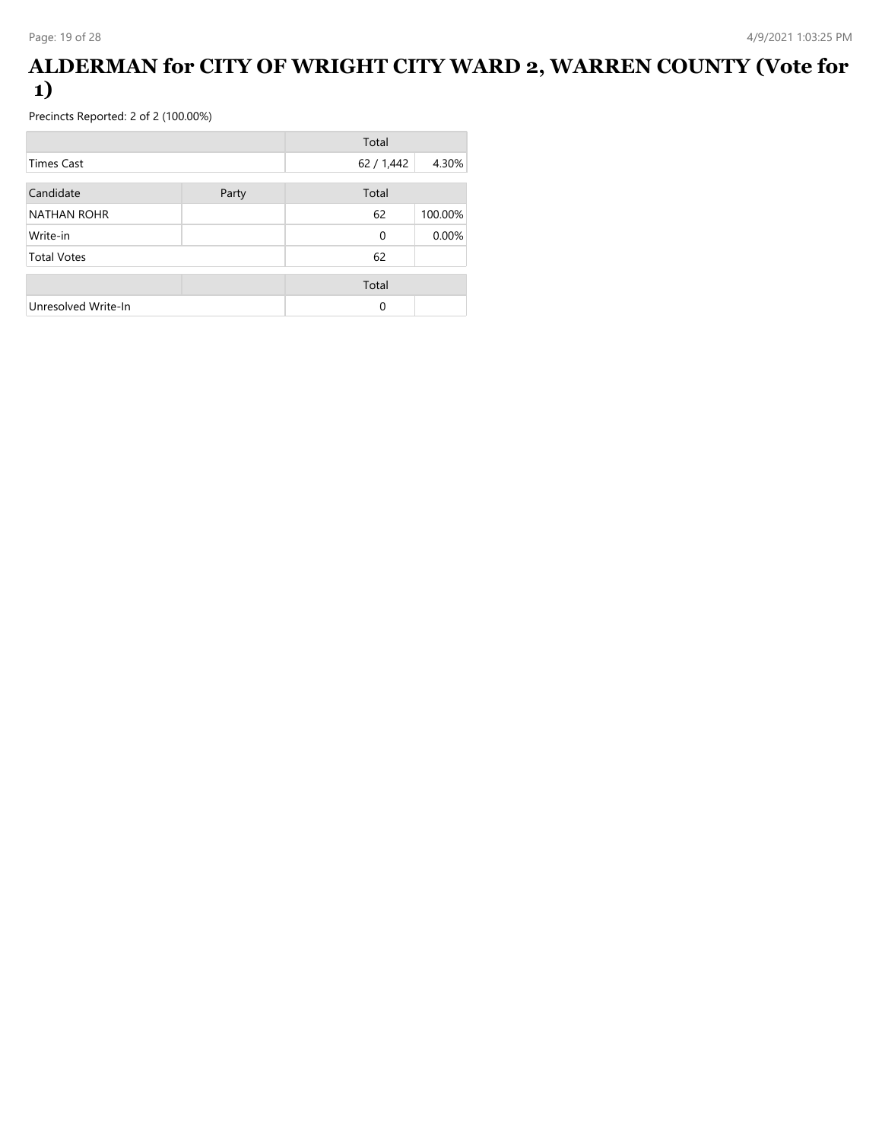### **ALDERMAN for CITY OF WRIGHT CITY WARD 2, WARREN COUNTY (Vote for 1)**

|                     |       | Total       |         |
|---------------------|-------|-------------|---------|
| Times Cast          |       | 62 / 1,442  | 4.30%   |
| Candidate           | Party | Total       |         |
| <b>NATHAN ROHR</b>  |       | 62          | 100.00% |
| Write-in            |       | $\mathbf 0$ | 0.00%   |
| <b>Total Votes</b>  |       | 62          |         |
|                     |       | Total       |         |
| Unresolved Write-In |       | $\Omega$    |         |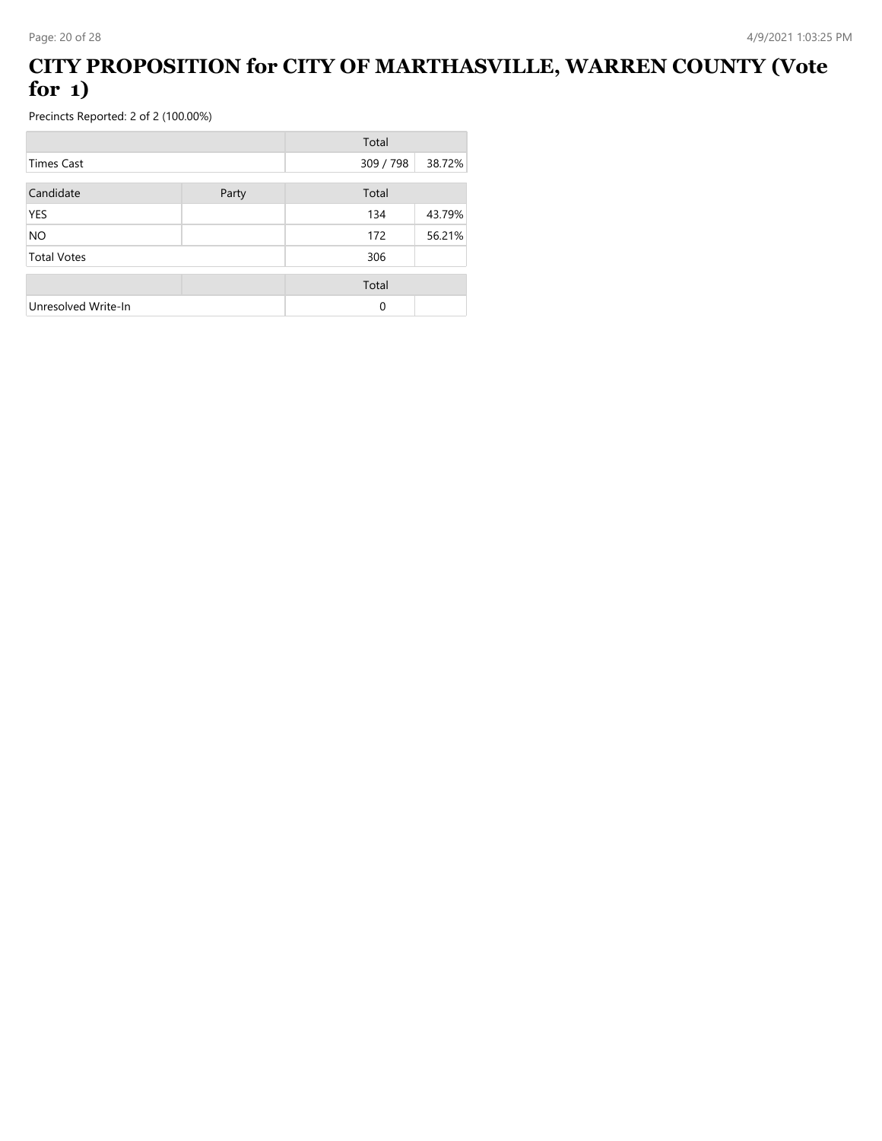### **CITY PROPOSITION for CITY OF MARTHASVILLE, WARREN COUNTY (Vote for 1)**

|                     |       | Total     |        |
|---------------------|-------|-----------|--------|
| Times Cast          |       | 309 / 798 | 38.72% |
| Candidate           | Party | Total     |        |
| <b>YES</b>          |       | 134       | 43.79% |
| <b>NO</b>           |       | 172       | 56.21% |
| <b>Total Votes</b>  |       | 306       |        |
|                     |       | Total     |        |
| Unresolved Write-In |       | $\Omega$  |        |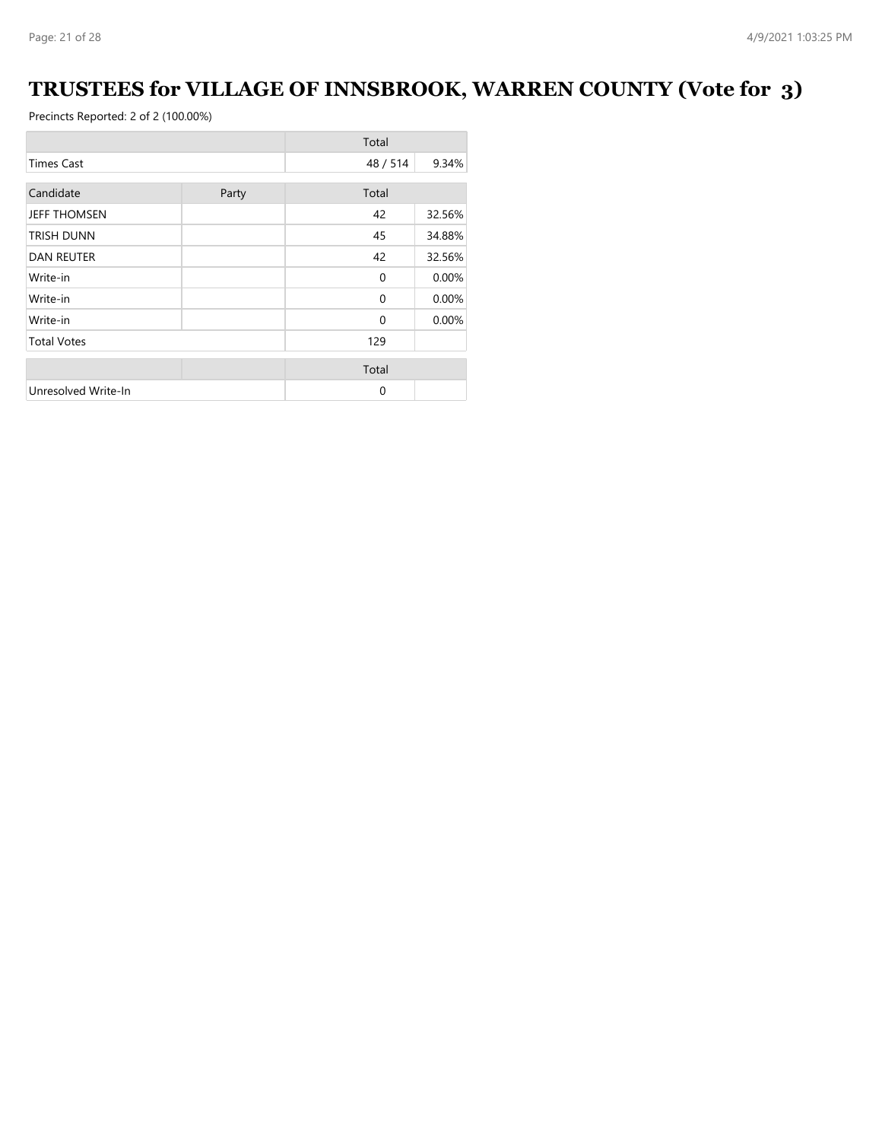# **TRUSTEES for VILLAGE OF INNSBROOK, WARREN COUNTY (Vote for 3)**

|                     |       | Total       |        |
|---------------------|-------|-------------|--------|
| <b>Times Cast</b>   |       | 48 / 514    | 9.34%  |
| Candidate           |       | Total       |        |
|                     | Party |             |        |
| <b>JEFF THOMSEN</b> |       | 42          | 32.56% |
| <b>TRISH DUNN</b>   |       | 45          | 34.88% |
| <b>DAN REUTER</b>   |       | 42          | 32.56% |
| Write-in            |       | $\mathbf 0$ | 0.00%  |
| Write-in            |       | $\mathbf 0$ | 0.00%  |
| Write-in            |       | $\mathbf 0$ | 0.00%  |
| <b>Total Votes</b>  |       | 129         |        |
|                     |       | Total       |        |
| Unresolved Write-In |       | $\mathbf 0$ |        |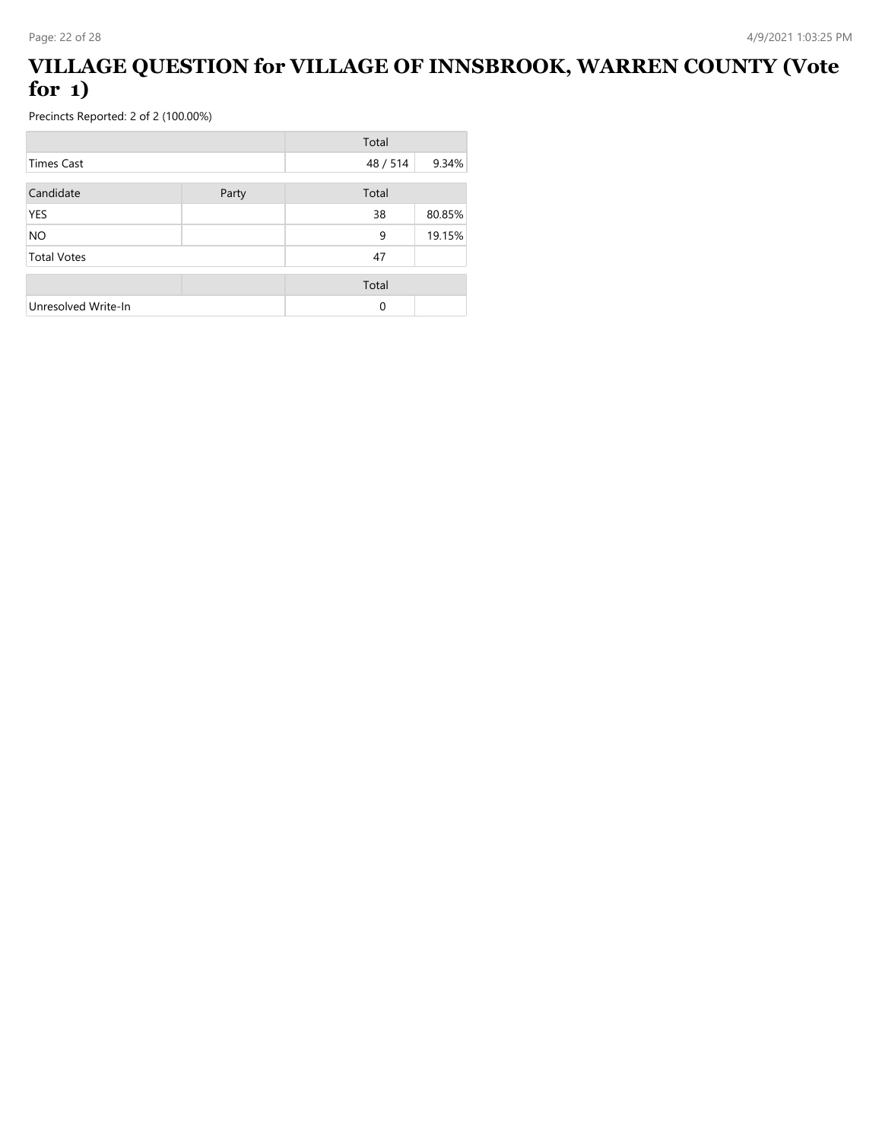### **VILLAGE QUESTION for VILLAGE OF INNSBROOK, WARREN COUNTY (Vote for 1)**

|                     |       | Total    |        |
|---------------------|-------|----------|--------|
| Times Cast          |       | 48/514   | 9.34%  |
| Candidate           | Party | Total    |        |
| <b>YES</b>          |       | 38       | 80.85% |
| <b>NO</b>           |       | 9        | 19.15% |
| <b>Total Votes</b>  |       | 47       |        |
|                     |       | Total    |        |
| Unresolved Write-In |       | $\Omega$ |        |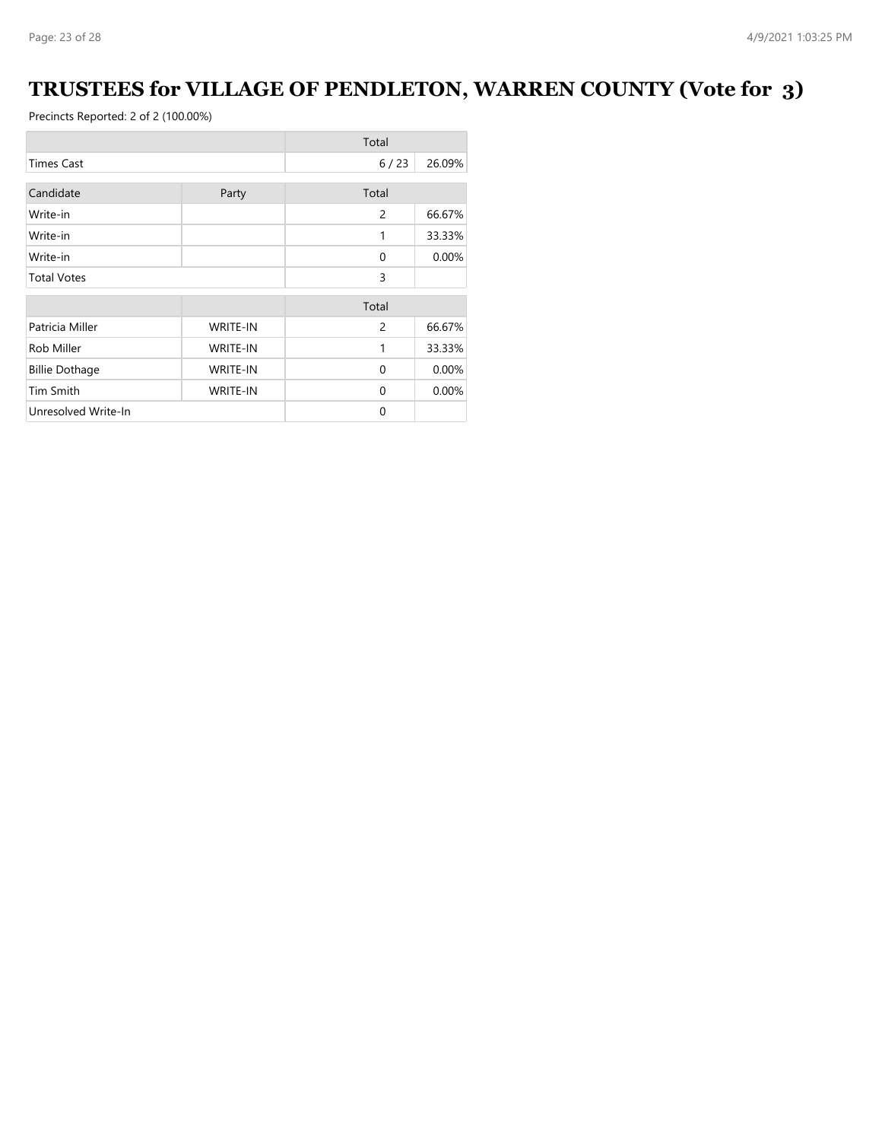# **TRUSTEES for VILLAGE OF PENDLETON, WARREN COUNTY (Vote for 3)**

|                                          |                 | Total          |        |
|------------------------------------------|-----------------|----------------|--------|
| <b>Times Cast</b>                        |                 | 6/23           | 26.09% |
| Candidate                                | Party           | Total          |        |
| Write-in                                 |                 | $\overline{c}$ | 66.67% |
| Write-in                                 |                 | 1              | 33.33% |
| Write-in                                 |                 | $\Omega$       | 0.00%  |
| <b>Total Votes</b>                       |                 | 3              |        |
|                                          |                 | Total          |        |
| Patricia Miller                          | <b>WRITE-IN</b> | 2              | 66.67% |
| Rob Miller                               | <b>WRITE-IN</b> | 1              | 33.33% |
| <b>Billie Dothage</b><br><b>WRITE-IN</b> |                 | $\Omega$       | 0.00%  |
| Tim Smith                                | <b>WRITE-IN</b> | $\Omega$       | 0.00%  |
| Unresolved Write-In                      |                 | $\Omega$       |        |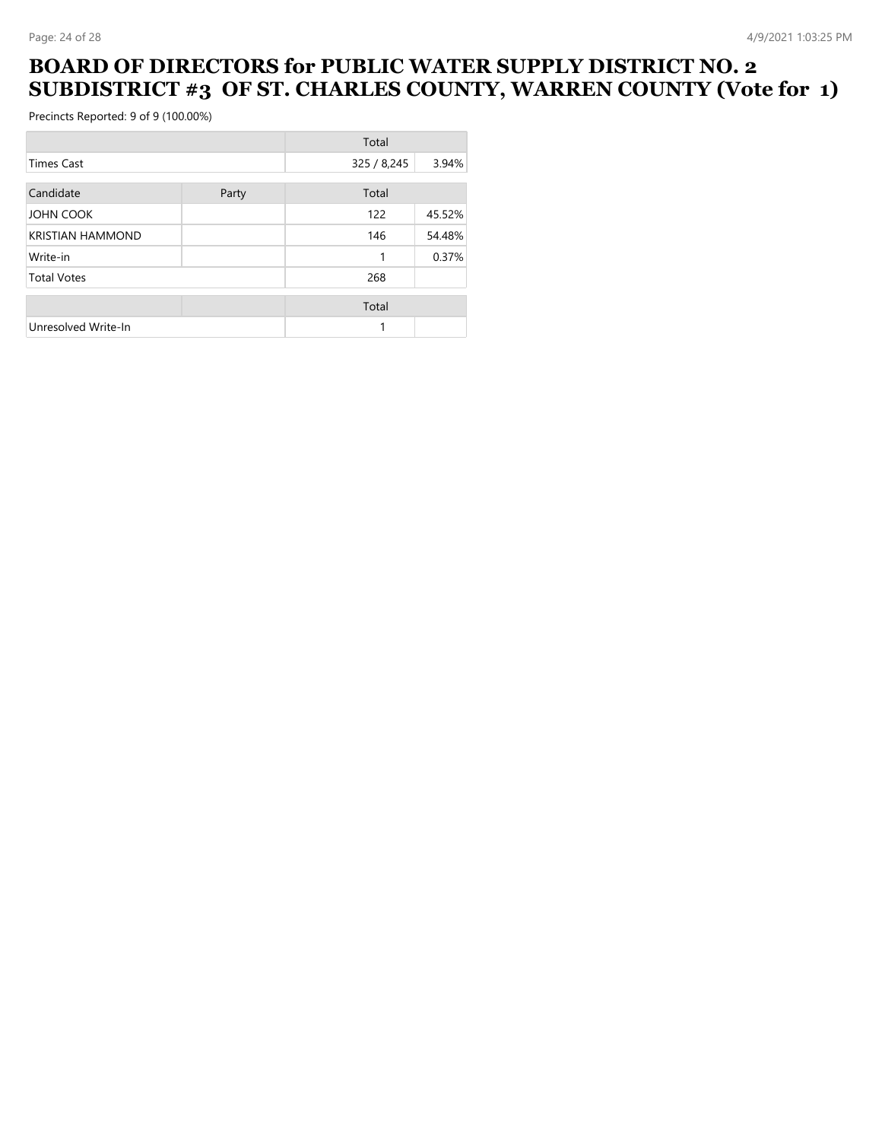#### **BOARD OF DIRECTORS for PUBLIC WATER SUPPLY DISTRICT NO. 2 SUBDISTRICT #3 OF ST. CHARLES COUNTY, WARREN COUNTY (Vote for 1)**

|                         |       | Total       |        |
|-------------------------|-------|-------------|--------|
| <b>Times Cast</b>       |       | 325 / 8,245 | 3.94%  |
| Candidate               | Party | Total       |        |
| <b>JOHN COOK</b>        |       | 122         | 45.52% |
| <b>KRISTIAN HAMMOND</b> |       | 146         | 54.48% |
| Write-in                |       | 1           | 0.37%  |
| <b>Total Votes</b>      |       | 268         |        |
|                         |       | Total       |        |
| Unresolved Write-In     |       |             |        |
|                         |       |             |        |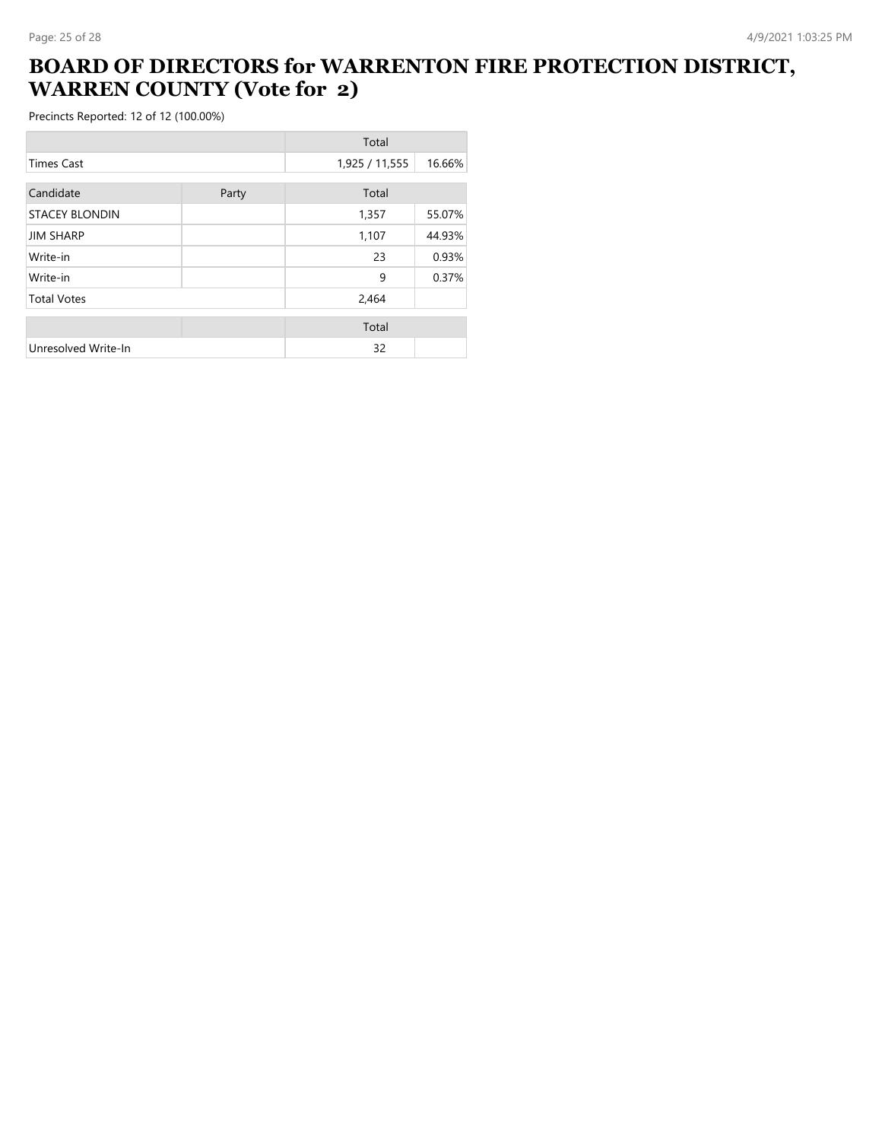#### **BOARD OF DIRECTORS for WARRENTON FIRE PROTECTION DISTRICT, WARREN COUNTY (Vote for 2)**

|                       |       | Total          |        |
|-----------------------|-------|----------------|--------|
| <b>Times Cast</b>     |       | 1,925 / 11,555 | 16.66% |
| Candidate             | Party | Total          |        |
| <b>STACEY BLONDIN</b> |       | 1,357          | 55.07% |
| <b>JIM SHARP</b>      |       | 1,107          | 44.93% |
| Write-in              |       | 23             | 0.93%  |
| Write-in              |       | 9              | 0.37%  |
| <b>Total Votes</b>    |       | 2,464          |        |
|                       |       | Total          |        |
| Unresolved Write-In   |       | 32             |        |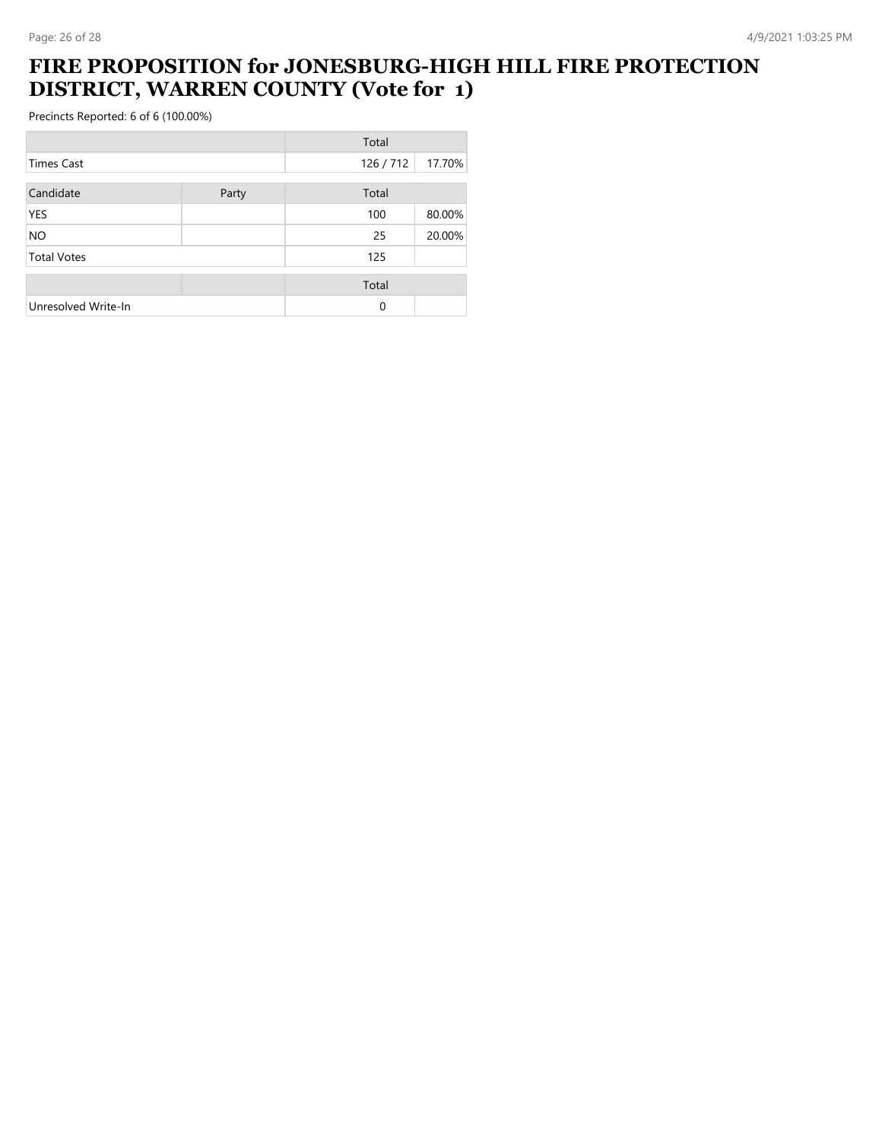#### **FIRE PROPOSITION for JONESBURG-HIGH HILL FIRE PROTECTION DISTRICT, WARREN COUNTY (Vote for 1)**

|                     |       | Total    |        |
|---------------------|-------|----------|--------|
| <b>Times Cast</b>   |       | 126/712  | 17.70% |
| Candidate           | Party | Total    |        |
| <b>YES</b>          |       | 100      | 80.00% |
| <b>NO</b>           |       | 25       | 20.00% |
| <b>Total Votes</b>  |       | 125      |        |
|                     |       | Total    |        |
| Unresolved Write-In |       | $\Omega$ |        |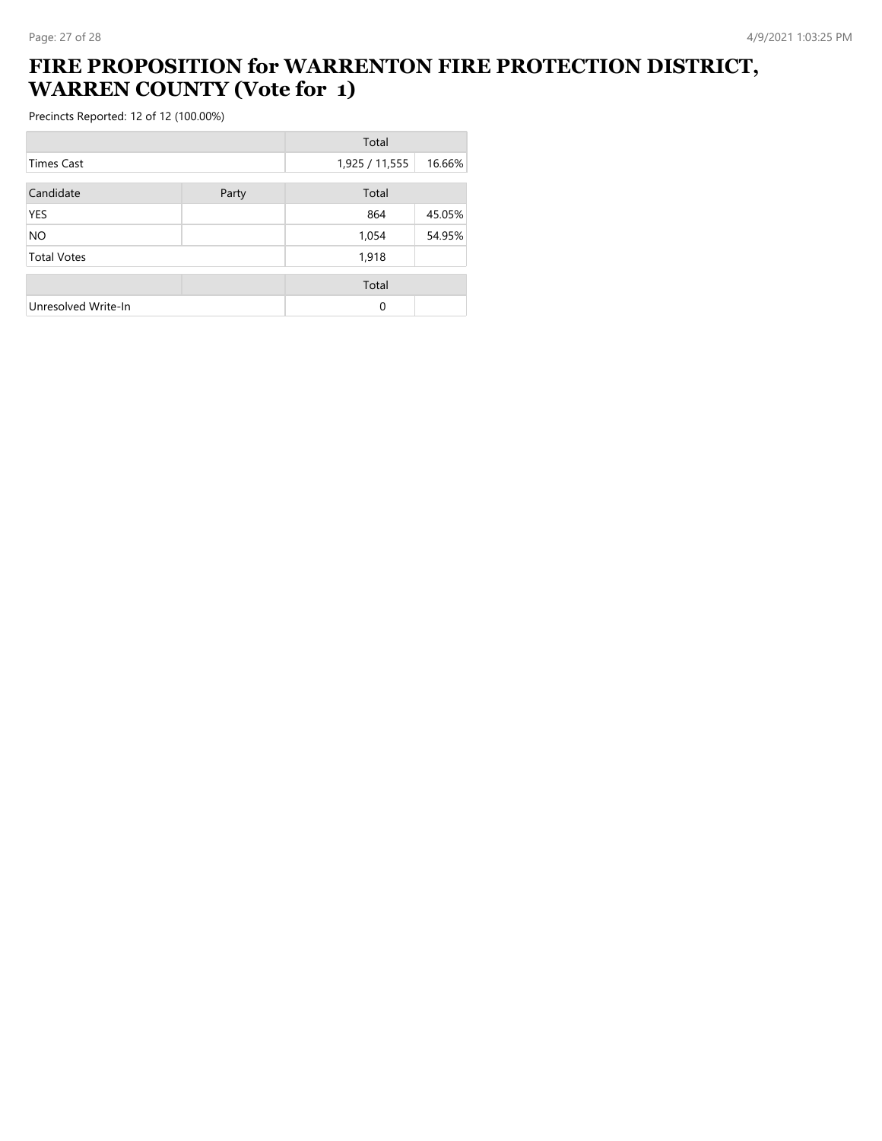# **FIRE PROPOSITION for WARRENTON FIRE PROTECTION DISTRICT, WARREN COUNTY (Vote for 1)**

|                     |       | Total          |        |
|---------------------|-------|----------------|--------|
| <b>Times Cast</b>   |       | 1,925 / 11,555 | 16.66% |
| Candidate           | Party | Total          |        |
| <b>YES</b>          |       | 864            | 45.05% |
| <b>NO</b>           |       | 1,054          | 54.95% |
| <b>Total Votes</b>  |       | 1,918          |        |
|                     |       | Total          |        |
| Unresolved Write-In |       | $\Omega$       |        |